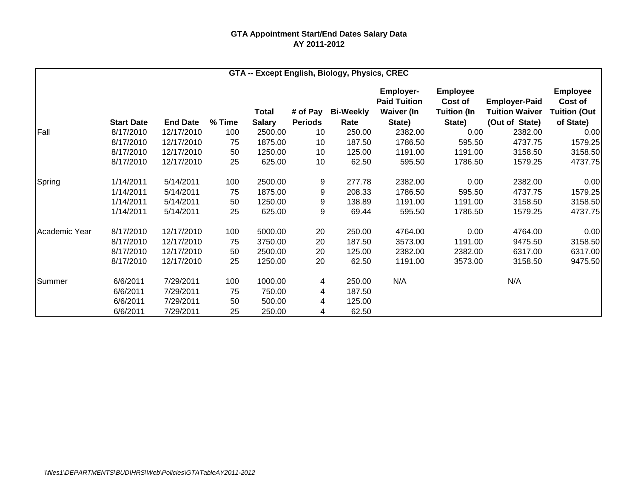|               |                   |                 |        |               |                | GTA -- Except English, Biology, Physics, CREC |                                         |                            |                       |                            |
|---------------|-------------------|-----------------|--------|---------------|----------------|-----------------------------------------------|-----------------------------------------|----------------------------|-----------------------|----------------------------|
|               |                   |                 |        |               |                |                                               | <b>Employer-</b><br><b>Paid Tuition</b> | <b>Employee</b><br>Cost of | <b>Employer-Paid</b>  | <b>Employee</b><br>Cost of |
|               |                   |                 |        | Total         | # of Pay       | <b>Bi-Weekly</b>                              | <b>Waiver (In</b>                       | <b>Tuition (In</b>         | <b>Tuition Waiver</b> | <b>Tuition (Out</b>        |
|               | <b>Start Date</b> | <b>End Date</b> | % Time | <b>Salary</b> | <b>Periods</b> | Rate                                          | State)                                  | State)                     | (Out of State)        | of State)                  |
| Fall          | 8/17/2010         | 12/17/2010      | 100    | 2500.00       | 10             | 250.00                                        | 2382.00                                 | 0.00                       | 2382.00               | 0.00                       |
|               | 8/17/2010         | 12/17/2010      | 75     | 1875.00       | 10             | 187.50                                        | 1786.50                                 | 595.50                     | 4737.75               | 1579.25                    |
|               | 8/17/2010         | 12/17/2010      | 50     | 1250.00       | 10             | 125.00                                        | 1191.00                                 | 1191.00                    | 3158.50               | 3158.50                    |
|               | 8/17/2010         | 12/17/2010      | 25     | 625.00        | 10             | 62.50                                         | 595.50                                  | 1786.50                    | 1579.25               | 4737.75                    |
| Spring        | 1/14/2011         | 5/14/2011       | 100    | 2500.00       | 9              | 277.78                                        | 2382.00                                 | 0.00                       | 2382.00               | 0.00                       |
|               | 1/14/2011         | 5/14/2011       | 75     | 1875.00       | 9              | 208.33                                        | 1786.50                                 | 595.50                     | 4737.75               | 1579.25                    |
|               | 1/14/2011         | 5/14/2011       | 50     | 1250.00       | 9              | 138.89                                        | 1191.00                                 | 1191.00                    | 3158.50               | 3158.50                    |
|               | 1/14/2011         | 5/14/2011       | 25     | 625.00        | 9              | 69.44                                         | 595.50                                  | 1786.50                    | 1579.25               | 4737.75                    |
| Academic Year | 8/17/2010         | 12/17/2010      | 100    | 5000.00       | 20             | 250.00                                        | 4764.00                                 | 0.00                       | 4764.00               | 0.00                       |
|               | 8/17/2010         | 12/17/2010      | 75     | 3750.00       | 20             | 187.50                                        | 3573.00                                 | 1191.00                    | 9475.50               | 3158.50                    |
|               | 8/17/2010         | 12/17/2010      | 50     | 2500.00       | 20             | 125.00                                        | 2382.00                                 | 2382.00                    | 6317.00               | 6317.00                    |
|               | 8/17/2010         | 12/17/2010      | 25     | 1250.00       | 20             | 62.50                                         | 1191.00                                 | 3573.00                    | 3158.50               | 9475.50                    |
| Summer        | 6/6/2011          | 7/29/2011       | 100    | 1000.00       | 4              | 250.00                                        | N/A                                     |                            | N/A                   |                            |
|               | 6/6/2011          | 7/29/2011       | 75     | 750.00        | 4              | 187.50                                        |                                         |                            |                       |                            |
|               | 6/6/2011          | 7/29/2011       | 50     | 500.00        | 4              | 125.00                                        |                                         |                            |                       |                            |
|               | 6/6/2011          | 7/29/2011       | 25     | 250.00        | 4              | 62.50                                         |                                         |                            |                       |                            |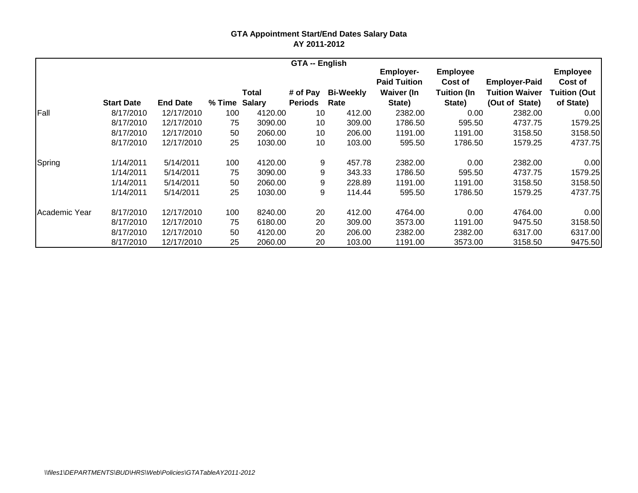|               |                   |                 |               |         | <b>GTA -- English</b> |                  |                                         |                            |                       |                            |
|---------------|-------------------|-----------------|---------------|---------|-----------------------|------------------|-----------------------------------------|----------------------------|-----------------------|----------------------------|
|               |                   |                 |               |         |                       |                  | <b>Employer-</b><br><b>Paid Tuition</b> | <b>Employee</b><br>Cost of | <b>Employer-Paid</b>  | <b>Employee</b><br>Cost of |
|               |                   |                 |               | Total   | # of Pay              | <b>Bi-Weekly</b> | <b>Waiver (In</b>                       | <b>Tuition (In</b>         | <b>Tuition Waiver</b> | <b>Tuition (Out</b>        |
|               | <b>Start Date</b> | <b>End Date</b> | % Time Salary |         | <b>Periods</b>        | Rate             | State)                                  | State)                     | (Out of State)        | of State)                  |
| Fall          | 8/17/2010         | 12/17/2010      | 100           | 4120.00 | 10                    | 412.00           | 2382.00                                 | 0.00                       | 2382.00               | 0.00                       |
|               | 8/17/2010         | 12/17/2010      | 75            | 3090.00 | 10                    | 309.00           | 1786.50                                 | 595.50                     | 4737.75               | 1579.25                    |
|               | 8/17/2010         | 12/17/2010      | 50            | 2060.00 | 10                    | 206.00           | 1191.00                                 | 1191.00                    | 3158.50               | 3158.50                    |
|               | 8/17/2010         | 12/17/2010      | 25            | 1030.00 | 10                    | 103.00           | 595.50                                  | 1786.50                    | 1579.25               | 4737.75                    |
| Spring        | 1/14/2011         | 5/14/2011       | 100           | 4120.00 | 9                     | 457.78           | 2382.00                                 | 0.00                       | 2382.00               | 0.00                       |
|               | 1/14/2011         | 5/14/2011       | 75            | 3090.00 | 9                     | 343.33           | 1786.50                                 | 595.50                     | 4737.75               | 1579.25                    |
|               | 1/14/2011         | 5/14/2011       | 50            | 2060.00 | 9                     | 228.89           | 1191.00                                 | 1191.00                    | 3158.50               | 3158.50                    |
|               | 1/14/2011         | 5/14/2011       | 25            | 1030.00 | 9                     | 114.44           | 595.50                                  | 1786.50                    | 1579.25               | 4737.75                    |
| Academic Year | 8/17/2010         | 12/17/2010      | 100           | 8240.00 | 20                    | 412.00           | 4764.00                                 | 0.00                       | 4764.00               | 0.00                       |
|               | 8/17/2010         | 12/17/2010      | 75            | 6180.00 | 20                    | 309.00           | 3573.00                                 | 1191.00                    | 9475.50               | 3158.50                    |
|               | 8/17/2010         | 12/17/2010      | 50            | 4120.00 | 20                    | 206.00           | 2382.00                                 | 2382.00                    | 6317.00               | 6317.00                    |
|               | 8/17/2010         | 12/17/2010      | 25            | 2060.00 | 20                    | 103.00           | 1191.00                                 | 3573.00                    | 3158.50               | 9475.50                    |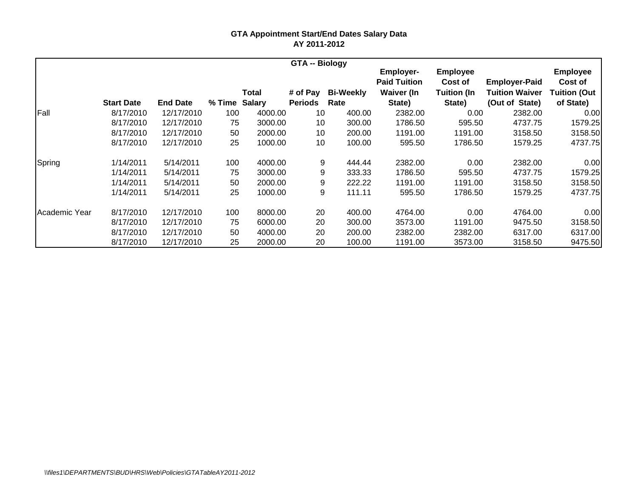|               |                   |                 |               |         | <b>GTA -- Biology</b> |                  |                                         |                            |                       |                            |
|---------------|-------------------|-----------------|---------------|---------|-----------------------|------------------|-----------------------------------------|----------------------------|-----------------------|----------------------------|
|               |                   |                 |               |         |                       |                  | <b>Employer-</b><br><b>Paid Tuition</b> | <b>Employee</b><br>Cost of | <b>Employer-Paid</b>  | <b>Employee</b><br>Cost of |
|               |                   |                 |               | Total   | # of Pay              | <b>Bi-Weekly</b> | <b>Waiver (In</b>                       | <b>Tuition (In</b>         | <b>Tuition Waiver</b> | <b>Tuition (Out</b>        |
|               | <b>Start Date</b> | <b>End Date</b> | % Time Salary |         | <b>Periods</b>        | Rate             | State)                                  | State)                     | (Out of State)        | of State)                  |
| Fall          | 8/17/2010         | 12/17/2010      | 100           | 4000.00 | 10                    | 400.00           | 2382.00                                 | 0.00                       | 2382.00               | 0.00                       |
|               | 8/17/2010         | 12/17/2010      | 75            | 3000.00 | 10                    | 300.00           | 1786.50                                 | 595.50                     | 4737.75               | 1579.25                    |
|               | 8/17/2010         | 12/17/2010      | 50            | 2000.00 | 10                    | 200.00           | 1191.00                                 | 1191.00                    | 3158.50               | 3158.50                    |
|               | 8/17/2010         | 12/17/2010      | 25            | 1000.00 | 10                    | 100.00           | 595.50                                  | 1786.50                    | 1579.25               | 4737.75                    |
| Spring        | 1/14/2011         | 5/14/2011       | 100           | 4000.00 | 9                     | 444.44           | 2382.00                                 | 0.00                       | 2382.00               | 0.00                       |
|               | 1/14/2011         | 5/14/2011       | 75            | 3000.00 | 9                     | 333.33           | 1786.50                                 | 595.50                     | 4737.75               | 1579.25                    |
|               | 1/14/2011         | 5/14/2011       | 50            | 2000.00 | 9                     | 222.22           | 1191.00                                 | 1191.00                    | 3158.50               | 3158.50                    |
|               | 1/14/2011         | 5/14/2011       | 25            | 1000.00 | 9                     | 111.11           | 595.50                                  | 1786.50                    | 1579.25               | 4737.75                    |
| Academic Year | 8/17/2010         | 12/17/2010      | 100           | 8000.00 | 20                    | 400.00           | 4764.00                                 | 0.00                       | 4764.00               | 0.00                       |
|               | 8/17/2010         | 12/17/2010      | 75            | 6000.00 | 20                    | 300.00           | 3573.00                                 | 1191.00                    | 9475.50               | 3158.50                    |
|               | 8/17/2010         | 12/17/2010      | 50            | 4000.00 | 20                    | 200.00           | 2382.00                                 | 2382.00                    | 6317.00               | 6317.00                    |
|               | 8/17/2010         | 12/17/2010      | 25            | 2000.00 | 20                    | 100.00           | 1191.00                                 | 3573.00                    | 3158.50               | 9475.50                    |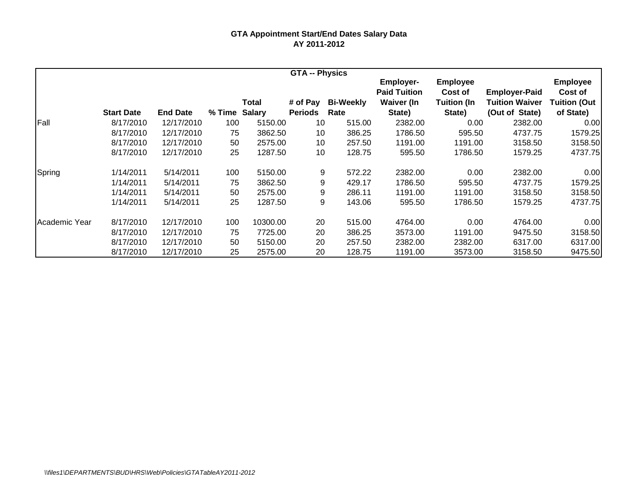|               |                   |                 |        |               | <b>GTA -- Physics</b> |                  |                                         |                            |                       |                            |
|---------------|-------------------|-----------------|--------|---------------|-----------------------|------------------|-----------------------------------------|----------------------------|-----------------------|----------------------------|
|               |                   |                 |        |               |                       |                  | <b>Employer-</b><br><b>Paid Tuition</b> | <b>Employee</b><br>Cost of | <b>Employer-Paid</b>  | <b>Employee</b><br>Cost of |
|               |                   |                 |        | Total         | # of Pay              | <b>Bi-Weekly</b> | <b>Waiver (In</b>                       | <b>Tuition (In</b>         | <b>Tuition Waiver</b> | <b>Tuition (Out</b>        |
|               | <b>Start Date</b> | <b>End Date</b> | % Time | <b>Salary</b> | <b>Periods</b>        | Rate             | State)                                  | State)                     | (Out of State)        | of State)                  |
| Fall          | 8/17/2010         | 12/17/2010      | 100    | 5150.00       | 10                    | 515.00           | 2382.00                                 | 0.00                       | 2382.00               | 0.00                       |
|               | 8/17/2010         | 12/17/2010      | 75     | 3862.50       | 10                    | 386.25           | 1786.50                                 | 595.50                     | 4737.75               | 1579.25                    |
|               | 8/17/2010         | 12/17/2010      | 50     | 2575.00       | 10                    | 257.50           | 1191.00                                 | 1191.00                    | 3158.50               | 3158.50                    |
|               | 8/17/2010         | 12/17/2010      | 25     | 1287.50       | 10                    | 128.75           | 595.50                                  | 1786.50                    | 1579.25               | 4737.75                    |
| Spring        | 1/14/2011         | 5/14/2011       | 100    | 5150.00       | 9                     | 572.22           | 2382.00                                 | 0.00                       | 2382.00               | 0.00                       |
|               | 1/14/2011         | 5/14/2011       | 75     | 3862.50       | 9                     | 429.17           | 1786.50                                 | 595.50                     | 4737.75               | 1579.25                    |
|               | 1/14/2011         | 5/14/2011       | 50     | 2575.00       | 9                     | 286.11           | 1191.00                                 | 1191.00                    | 3158.50               | 3158.50                    |
|               | 1/14/2011         | 5/14/2011       | 25     | 1287.50       | 9                     | 143.06           | 595.50                                  | 1786.50                    | 1579.25               | 4737.75                    |
| Academic Year | 8/17/2010         | 12/17/2010      | 100    | 10300.00      | 20                    | 515.00           | 4764.00                                 | 0.00                       | 4764.00               | 0.00                       |
|               | 8/17/2010         | 12/17/2010      | 75     | 7725.00       | 20                    | 386.25           | 3573.00                                 | 1191.00                    | 9475.50               | 3158.50                    |
|               | 8/17/2010         | 12/17/2010      | 50     | 5150.00       | 20                    | 257.50           | 2382.00                                 | 2382.00                    | 6317.00               | 6317.00                    |
|               | 8/17/2010         | 12/17/2010      | 25     | 2575.00       | 20                    | 128.75           | 1191.00                                 | 3573.00                    | 3158.50               | 9475.50                    |